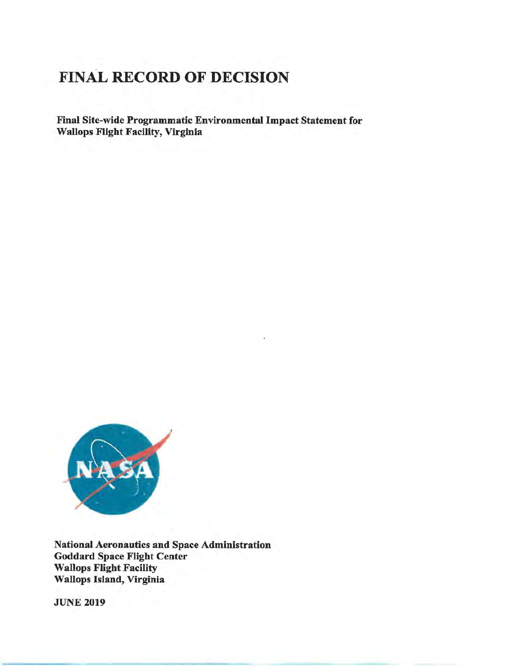# FINAL RECORD OF DECISION

Final Site-wide Programmatic Environmental Impact Statement for Wallops Flight Facility, Virginia



National Aeronautics and Space Administration Goddard Space Flight Center Wallops Flight Facility Wallops Island, Virginia

**JUNE 2019**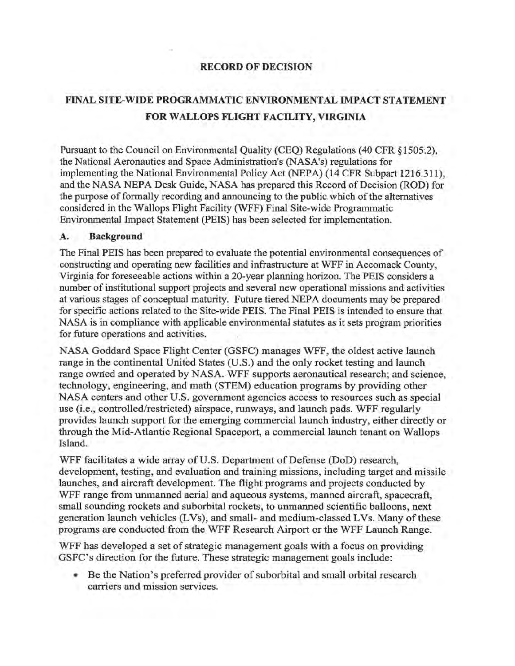### **RECORD OF DECISION**

## **FINAL SITE-WIDE PROGRAMMATIC ENVIRONMENTAL IMPACT STATEMENT FOR WALLOPS FLIGHT FACILITY, VIRGINIA**

Pursuant to the Council on Environmental Quality (CEQ) Regulations (40 CFR § 1505·.2), the National Aeronautics and Space Administration's (NASA's) regulations for implementing the National Environmental Policy Act (NEPA) (14 CFR Subpart 1216.311), and the NASA NEPA Desk Guide, NASA has prepared this Record of Decision (ROD) for the purpose of formally recording and announcing to the public. which of the alternatives considered in the Wallops Flight Facility (WFF) Final Site-wide Programmatic Environmental Impact Statement (PEIS) has been selected for implementation.

#### **A. Background**

The Final PEIS has been prepared to evaluate the potential environmental consequences of constructing and operating new facilities and infrastructure at WFF in Accomack County, Virginia for foreseeable actions within a 20-year planning horizon. The PEIS considers a number of institutional support projects and several new operational missions and activities at various stages of conceptual maturity. Future tiered NEPA documents may be prepared for specific actions related to the Site-wide PEIS. The Final PEIS is intended to ensure that NASA is in compliance with applicable environmental statutes as it sets program priorities for future operations and activities.

NASA Goddard Space Flight Center (GSFC) manages WFF, the oldest active launch range in the continental United States (U.S.) and the only rocket testing and launch range owned and operated by NASA. WFF supports aeronautical research; and science, technology, engineering, and math (STEM) education programs by providing other NASA centers and other U.S. government agencies access to resources such as special use (i.e., controlled/restricted) airspace, runways, and launch pads. WFF regularly provides launch support for the emerging commercial launch industry, either directly or through the Mid-Atlantic Regional Spaceport, a commercial launch tenant on Wallops Island.

WFF facilitates a wide array of U.S. Department of Defense (DoD) research, development, testing, and evaluation and training missions, including target and missile launches, and aircraft development. The flight programs and projects conducted by WFF range from unmanned aerial and aqueous systems, manned aircraft, spacecraft, small sounding rockets and suborbital rockets, to unmanned scientific balloons, next generation launch vehicles (LVs), and small- and medium-classed LVs. Many of these programs are conducted from the WFF Research Airport or the WFF Launch Range.

WFF has developed a set of strategic management goals with a focus on providing GSFC's direction for the future. These strategic management goals include:

• Be the Nation's preferred provider of suborbital and small orbital research carriers and mission services.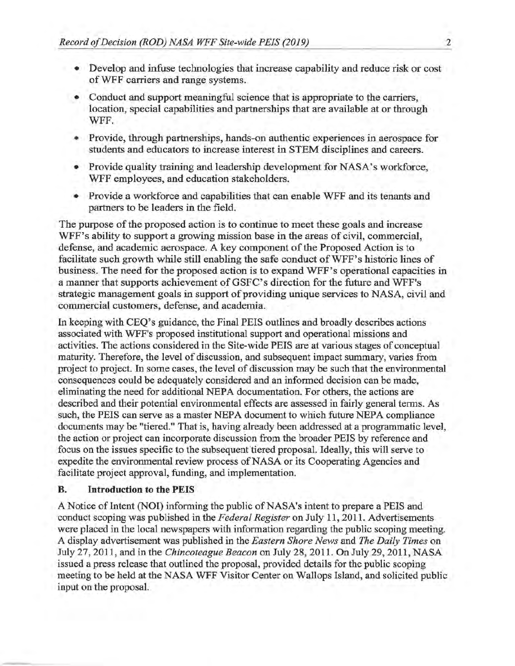- Develop and infuse technologies that increase capability and reduce risk or cost of WFF carriers and range systems.
- Conduct and support meaningful science that is appropriate to the carriers, location, special capabilities and partnerships that are available at or through WFF.
- Provide, through partnerships, hands-on authentic experiences in aerospace for students and educators to increase interest in STEM disciplines and careers.
- Provide quality training and leadership development for NASA's workforce, WFF employees, and education stakeholders.
- Provide a workforce and capabilities that can enable WFF and its tenants and partners to be leaders in the field.

The purpose of the proposed action is to continue to meet these goals and increase WFF's ability to support a growing mission base in the areas of civil, commercial, defense, and academic aerospace. A key component of the Proposed Action is to facilitate such growth while still enabling the safe conduct of WFF's historic lines of business. The need for the proposed action is to expand WFF's operational capacities in a manner that supports achievement of GSFC's direction for the future and WFF's strategic management goals in support of providing unique services to NASA, civil and commercial customers, defense, and academia.

In keeping with CEQ's guidance, the Final PEIS outlines and broadly describes actions associated with WFF's proposed institutional support and operational missions and activities. The actions considered in the Site-wide PEIS are at various stages of conceptual maturity. Therefore, the level of discussion, and subsequent impact summary, varies from project to project. In some cases, the level of discussion may be such that the environmental consequences could be adequately considered and an informed decision can be made, eliminating the need for additional NEPA documentation. For others, the actions are described and their potential environmental effects are assessed in fairly general terms. As such, the PEIS can serve as a master NEPA document to which future NEPA compliance documents may be "tiered." That is, having already been addressed at a programmatic level, the action or project can incorporate discussion from the broader PEIS by reference and focus on the issues specific to the subsequent tiered proposal. Ideally, this will serve to expedite the environmental review process of NASA or its Cooperating Agencies and facilitate project approval, funding, and implementation.

#### **B. Introduction to the PEIS**

A Notice of Intent (NOI) informing the public of NASA's intent to prepare a PEIS and conduct scoping was published in the *Federal Register* on July 11, 2011. Advertisements were placed in the local newspapers with information regarding the public scoping meeting. A display advertisement was published in the *Eastern Shore News* and *The Daily Times* on July 27, 2011, and in the *Chincoteague Beacon* on July 28, 2011. On July 29, 2011, NASA issued a press release that outlined the proposal, provided details for the public scoping meeting to be held at the NASA WFF Visitor Center on Wallops Island, and solicited public input on the proposal.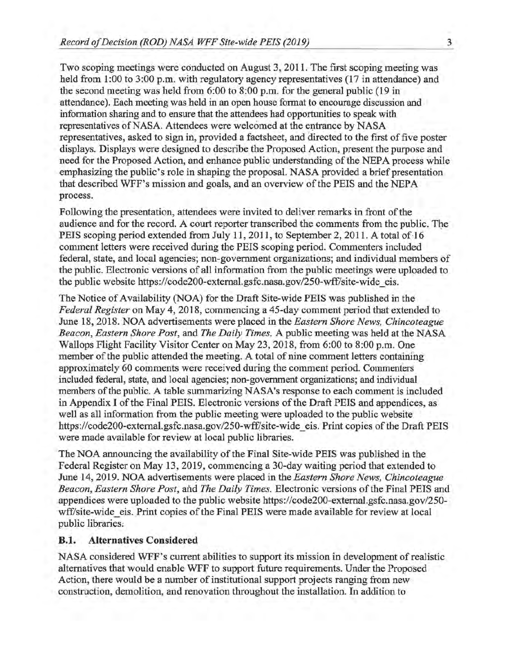Two scoping meetings were conducted on August 3, 2011. The first scoping meeting was held from 1:00 to 3:00 p.m. with regulatory agency representatives (17 in attendance) and the second meeting was held from 6:00 to 8:00 p.m. for the general public (19 in attendance). Each meeting was held in an open house format to encourage discussion and information sharing and to ensure that the attendees had opportunities to speak with representatives of NASA. Attendees were welcomed at the entrance by NASA representatives, asked to sign in, provided a factsheet, and directed to the first of five poster displays. Displays were designed to describe the Proposed Action, present the purpose and need for the Proposed Action, and enhance public understanding of the NEPA process while emphasizing the public's role in shaping the proposal. **NASA** provided a brief presentation that described WFF's mission and goals, and an overview of the PEIS and the NEPA process.

Following the presentation, attendees were invited to deliver remarks in front of the audience and for the record. A court reporter transcribed the comments from the public. The PEIS scoping period extended from July 11, 2011, to September 2, 2011. A total of 16 comment letters were received during the PEIS scoping period. Commenters included federal, state, and local agencies; non-government organizations; and individual members of the public. Electronic versions of all information from the public meetings were uploaded to the public website https://code200-extemal.gsfc.nasa.gov/250-wff/site-wide eis.

The Notice of Availability (NOA) for the Draft Site-wide PEIS was published in the *Federal Register* on May 4, 2018, commencing a 45-day comment period that extended to June 18, 2018. NOA advertisements were placed in the *Eastern Shore News, Chincoteague Beacon, Eastern Shore Post,* and *The Daily Times.* A public meeting was held at the **NASA**  Wallops Flight Facility Visitor Center on May 23, 2018, from 6:00 to 8:00 p.m. One member of the public attended the meeting. A total of nine comment letters containing approximately 60 comments were received during the comment period. Commenters included federal, state, and local agencies; non-government organizations; and individual members of the public. A table summarizing NASA's response to each comment is included in Appendix I of the Final PEIS. Electronic versions of the Draft PEIS and appendices, as well as all information from the public meeting were uploaded to the public website https://code200-external.gsfc.nasa.gov/250-wff/site-wide eis. Print copies of the Draft PEIS were made available for review at local public libraries.

The NOA announcing the availability of the Final Site-wide PEIS was published in the Federal Register on May 13, 2019, commencing a 30-day waiting period that extended to June 14, 2019. NOA advertisements were placed in the *Eastern Shore News, Chincoteague Beacon, Eastern Shore Post,* and *The Daily Times.* Electronic versions of the Final PEIS and appendices were uploaded to the public website https://code200-external.gsfc.nasa.gov/250wff/site-wide eis. Print copies of the Final PEIS were made available for review at local public libraries;

#### **B.1. Alternatives Considered**

NASA considered WFF's current abilities to support its mission in development of realistic alternatives that would enable WFF to support future requirements. Under the Proposed Action, there would be a number of institutional support projects ranging from new construction, demolition, and renovation throughout the installation. In addition to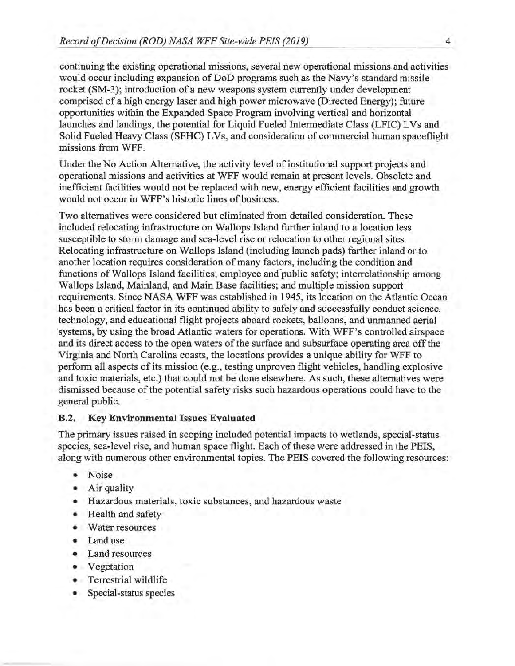continuing the existing operational missions, several new operational missions and activities would occur including expansion of DoD programs such as the Navy's standard missile rocket (SM-3); introduction of a new weapons system currently under development comprised of a high energy laser and high power microwave (Directed Energy); future opportunities within the Expanded Space Program involving vertical and horizontal launches and landings, the potential for Liquid Fueled Intermediate Class (LFIC) L Vs and Solid Fueled Heavy Class (SFHC) LVs, and consideration of commercial human spaceflight missions from WFF.

Under the No Action Alternative, the activity level of institutional support projects and operational missions and activities at WFF would remain at present levels. Obsolete and inefficient facilities would not be replaced with new, energy efficient facilities and growth would not occur in WFF's historic lines of business.

Two alternatives were considered but eliminated from detailed consideration. These included relocating infrastructure on Wallops Island further inland to a location less susceptible to storm damage and sea-level rise or relocation to other regional sites. Relocating infrastructure on Wallops Island (including launch pads) farther inland orto another location requires consideration of many factors, including the condition and functions of Wallops Island facilities; employee and public safety; interrelationship among Wallops Island, Mainland, and Main Base facilities; and multiple mission support requirements. Since NASA WFF was established in 1945, its location on the Atlantic Ocean has been a critical factor in its continued ability to safely and successfully conduct science, technology, and educational flight projects aboard rockets, balloons; and unmanned aerial systems, by using the broad Atlantic waters for operations. With WFF's controlled airspace and its direct access to the open waters of the surface and subsurface operating area off the Virginia and North Carolina coasts, the locations provides a unique ability for WFF to perform all aspects of its mission (e.g., testing unproven flight vehicles, handling explosive and toxic materials, etc.) that could not be done elsewhere. As such, these alternatives were dismissed because of the potential safety risks such hazardous operations could have to the general public.

#### **B.2. Key Environmental Issues Evaluated**

The primary issues raised in scoping included potential impacts to wetlands, special-status species, sea-level rise, and human space flight. Each of these were addressed in the PEIS, along with numerous other environmental topics. The PEIS covered the following resources:

- Noise
- Air quality
- Hazardous materials, toxic substances, and hazardous waste
- Health and safety
- Water resources
- Land use
- Land resources
- Vegetation
- Terrestrial wildlife
- Special-status species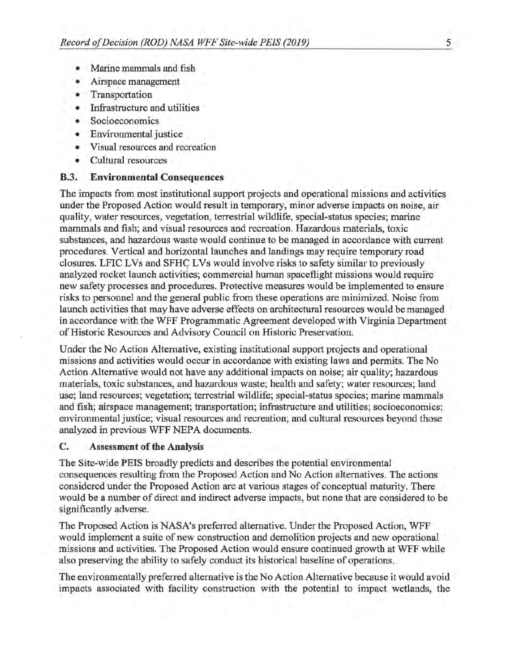- Marine mammals and fish
- Airspace management
- Transportation
- Infrastructure and utilities
- Socioeconomics
- Environmental justice
- Visual resources and recreation
- Cultural resources

#### **B.3. Environmental Consequences**

The impacts from most institutional support projects and operational missions and activities under the Proposed Action would result in temporary, minor adverse impacts on noise, air quality, water resources, vegetation, terrestrial wildlife, special-status species; marine mammals and fish; and visual resources and recreation. Hazardous materials, toxic substances, and hazardous waste would continue to be managed in accordance with current procedures. Vertical and horizontal launches and landings may require temporary road closures. LFIC LVs and SFHC LVs would involve risks to safety similar to previously analyzed rocket launch activities; commercial human spaceflight missions would require new safety processes and procedures. Protective measures would be implemented to ensure risks to personnel and the general public from these operations are minimized. Noise from launch activities that may have adverse effects on architectural resources would be managed in accordance with the WFF Programmatic Agreement developed with Virginia Department of Historic Resources and Advisory Council on Historic Preservation.

Under the No Action Alternative, existing institutional support projects and operational missions and activities would occur in accordance with existing laws and permits. The No Action Alternative would not have any additional impacts on noise; air quality; hazardous materials, toxic substances, and hazardous waste; health and safety; water resources; land use; land resources; vegetation; terrestrial wildlife; special-status species; marine mammals and fish; airspace management; transportation; infrastructure and utilities; socioeconomics; environmental justice; visual resources and recreation; and cultural resources beyond those analyzed in previous WFF NEPA documents.

#### **C. Assessment of the Analysis**

The Site-wide PEIS broadly predicts and describes the potential environmental consequences resulting from the Proposed Action and No Action alternatives. The actions considered under the Proposed Action are at various stages of conceptual maturity. There would be a number of direct and indirect adverse impacts, but none that are considered to be significantly adverse.

The Proposed Action is NASA's preferred alternative. Under the Proposed Action, WFF would implement a suite of new construction and demolition projects and new operational missions and activities. The Proposed Action would ensure continued growth at WFF while also preserving the ability to safely conduct its historical baseline of operations.

The environmentally preferred alternative is the No Action Alternative because it would avoid impacts associated with facility construction with the potential to impact wetlands, the